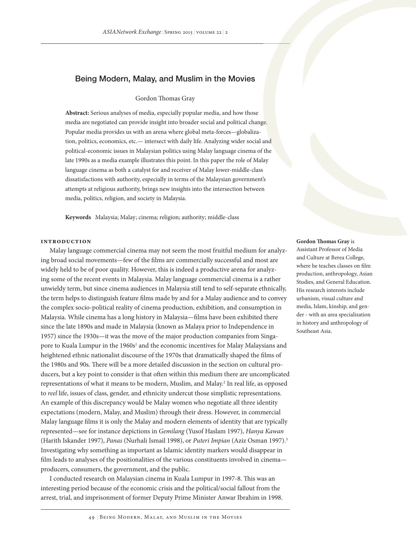# Being Modern, Malay, and Muslim in the Movies

### Gordon Thomas Gray

**Abstract:** Serious analyses of media, especially popular media, and how those media are negotiated can provide insight into broader social and political change. Popular media provides us with an arena where global meta-forces—globalization, politics, economics, etc.— intersect with daily life. Analyzing wider social and political-economic issues in Malaysian politics using Malay language cinema of the late 1990s as a media example illustrates this point. In this paper the role of Malay language cinema as both a catalyst for and receiver of Malay lower-middle-class dissatisfactions with authority, especially in terms of the Malaysian government's attempts at religious authority, brings new insights into the intersection between media, politics, religion, and society in Malaysia.

**Keywords** Malaysia; Malay; cinema; religion; authority; middle-class

### **Introduction**

Malay language commercial cinema may not seem the most fruitful medium for analyzing broad social movements—few of the films are commercially successful and most are widely held to be of poor quality. However, this is indeed a productive arena for analyzing some of the recent events in Malaysia. Malay language commercial cinema is a rather unwieldy term, but since cinema audiences in Malaysia still tend to self-separate ethnically, the term helps to distinguish feature films made by and for a Malay audience and to convey the complex socio-political reality of cinema production, exhibition, and consumption in Malaysia. While cinema has a long history in Malaysia—films have been exhibited there since the late 1890s and made in Malaysia (known as Malaya prior to Independence in 1957) since the 1930s—it was the move of the major production companies from Singapore to Kuala Lumpur in the 1960s<sup>1</sup> and the economic incentives for Malay Malaysians and heightened ethnic nationalist discourse of the 1970s that dramatically shaped the films of the 1980s and 90s. There will be a more detailed discussion in the section on cultural producers, but a key point to consider is that often within this medium there are uncomplicated representations of what it means to be modern, Muslim, and Malay.<sup>2</sup> In real life, as opposed to *reel* life, issues of class, gender, and ethnicity undercut those simplistic representations. An example of this discrepancy would be Malay women who negotiate all three identity expectations (modern, Malay, and Muslim) through their dress. However, in commercial Malay language films it is only the Malay and modern elements of identity that are typically represented—see for instance depictions in *Gemilang* (Yusof Haslam 1997), *Hanya Kawan* (Harith Iskander 1997), *Panas* (Nurhali Ismail 1998), or *Puteri Impian* (Aziz Osman 1997).3 Investigating why something as important as Islamic identity markers would disappear in film leads to analyses of the positionalities of the various constituents involved in cinema producers, consumers, the government, and the public.

I conducted research on Malaysian cinema in Kuala Lumpur in 1997-8. This was an interesting period because of the economic crisis and the political/social fallout from the arrest, trial, and imprisonment of former Deputy Prime Minister Anwar Ibrahim in 1998.

#### **Gordon Thomas Gray** is

Assistant Professor of Media and Culture at Berea College, where he teaches classes on film production, anthropology, Asian Studies, and General Education. His research interests include urbanism, visual culture and media, Islam, kinship, and gender - with an area specialization in history and anthropology of Southeast Asia.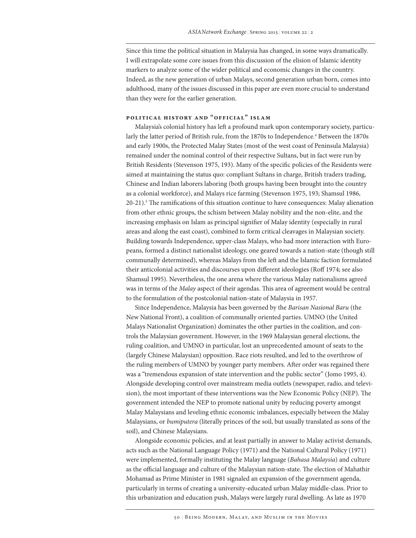Since this time the political situation in Malaysia has changed, in some ways dramatically. I will extrapolate some core issues from this discussion of the elision of Islamic identity markers to analyze some of the wider political and economic changes in the country. Indeed, as the new generation of urban Malays, second generation urban born, comes into adulthood, many of the issues discussed in this paper are even more crucial to understand than they were for the earlier generation.

## **Political History and "Official" Islam**

Malaysia's colonial history has left a profound mark upon contemporary society, particularly the latter period of British rule, from the 1870s to Independence.<sup>4</sup> Between the 1870s and early 1900s, the Protected Malay States (most of the west coast of Peninsula Malaysia) remained under the nominal control of their respective Sultans, but in fact were run by British Residents (Stevenson 1975, 193). Many of the specific policies of the Residents were aimed at maintaining the status quo: compliant Sultans in charge, British traders trading, Chinese and Indian laborers laboring (both groups having been brought into the country as a colonial workforce), and Malays rice farming (Stevenson 1975, 193; Shamsul 1986, 20-21).5 The ramifications of this situation continue to have consequences: Malay alienation from other ethnic groups, the schism between Malay nobility and the non-elite, and the increasing emphasis on Islam as principal signifier of Malay identity (especially in rural areas and along the east coast), combined to form critical cleavages in Malaysian society. Building towards Independence, upper-class Malays, who had more interaction with Europeans, formed a distinct nationalist ideology, one geared towards a nation-state (though still communally determined), whereas Malays from the left and the Islamic faction formulated their anticolonial activities and discourses upon different ideologies (Roff 1974; see also Shamsul 1995). Nevertheless, the one arena where the various Malay nationalisms agreed was in terms of the *Malay* aspect of their agendas. This area of agreement would be central to the formulation of the postcolonial nation-state of Malaysia in 1957.

Since Independence, Malaysia has been governed by the *Barisan Nasional Baru* (the New National Front), a coalition of communally oriented parties. UMNO (the United Malays Nationalist Organization) dominates the other parties in the coalition, and controls the Malaysian government. However, in the 1969 Malaysian general elections, the ruling coalition, and UMNO in particular, lost an unprecedented amount of seats to the (largely Chinese Malaysian) opposition. Race riots resulted, and led to the overthrow of the ruling members of UMNO by younger party members. After order was regained there was a "tremendous expansion of state intervention and the public sector" (Jomo 1995, 4). Alongside developing control over mainstream media outlets (newspaper, radio, and television), the most important of these interventions was the New Economic Policy (NEP). The government intended the NEP to promote national unity by reducing poverty amongst Malay Malaysians and leveling ethnic economic imbalances, especially between the Malay Malaysians, or *bumiputera* (literally princes of the soil, but usually translated as sons of the soil), and Chinese Malaysians.

Alongside economic policies, and at least partially in answer to Malay activist demands, acts such as the National Language Policy (1971) and the National Cultural Policy (1971) were implemented, formally instituting the Malay language (*Bahasa Malaysia*) and culture as the official language and culture of the Malaysian nation-state. The election of Mahathir Mohamad as Prime Minister in 1981 signaled an expansion of the government agenda, particularly in terms of creating a university-educated urban Malay middle-class. Prior to this urbanization and education push, Malays were largely rural dwelling. As late as 1970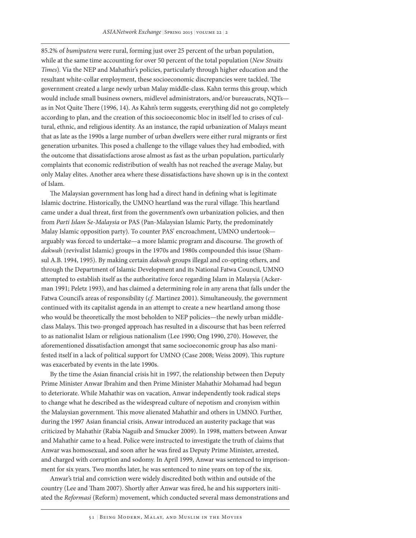85.2% of *bumiputera* were rural, forming just over 25 percent of the urban population, while at the same time accounting for over 50 percent of the total population (*New Straits Times*). Via the NEP and Mahathir's policies, particularly through higher education and the resultant white-collar employment, these socioeconomic discrepancies were tackled. The government created a large newly urban Malay middle-class. Kahn terms this group, which would include small business owners, midlevel administrators, and/or bureaucrats, NQTs as in Not Quite There (1996, 14). As Kahn's term suggests, everything did not go completely according to plan, and the creation of this socioeconomic bloc in itself led to crises of cultural, ethnic, and religious identity. As an instance, the rapid urbanization of Malays meant that as late as the 1990s a large number of urban dwellers were either rural migrants or first generation urbanites. This posed a challenge to the village values they had embodied, with the outcome that dissatisfactions arose almost as fast as the urban population, particularly complaints that economic redistribution of wealth has not reached the average Malay, but only Malay elites. Another area where these dissatisfactions have shown up is in the context of Islam.

The Malaysian government has long had a direct hand in defining what is legitimate Islamic doctrine. Historically, the UMNO heartland was the rural village. This heartland came under a dual threat, first from the government's own urbanization policies, and then from *Parti Islam Se-Malaysia* or PAS (Pan-Malaysian Islamic Party, the predominately Malay Islamic opposition party). To counter PAS' encroachment, UMNO undertook arguably was forced to undertake—a more Islamic program and discourse. The growth of *dakwah* (revivalist Islamic) groups in the 1970s and 1980s compounded this issue (Shamsul A.B. 1994, 1995). By making certain *dakwah* groups illegal and co-opting others, and through the Department of Islamic Development and its National Fatwa Council, UMNO attempted to establish itself as the authoritative force regarding Islam in Malaysia (Ackerman 1991; Peletz 1993), and has claimed a determining role in any arena that falls under the Fatwa Council's areas of responsibility (*cf.* Martinez 2001). Simultaneously, the government continued with its capitalist agenda in an attempt to create a new heartland among those who would be theoretically the most beholden to NEP policies—the newly urban middleclass Malays. This two-pronged approach has resulted in a discourse that has been referred to as nationalist Islam or religious nationalism (Lee 1990; Ong 1990, 270). However, the aforementioned dissatisfaction amongst that same socioeconomic group has also manifested itself in a lack of political support for UMNO (Case 2008; Weiss 2009). This rupture was exacerbated by events in the late 1990s.

By the time the Asian financial crisis hit in 1997, the relationship between then Deputy Prime Minister Anwar Ibrahim and then Prime Minister Mahathir Mohamad had begun to deteriorate. While Mahathir was on vacation, Anwar independently took radical steps to change what he described as the widespread culture of nepotism and cronyism within the Malaysian government. This move alienated Mahathir and others in UMNO. Further, during the 1997 Asian financial crisis, Anwar introduced an austerity package that was criticized by Mahathir (Rabia Naguib and Smucker 2009). In 1998, matters between Anwar and Mahathir came to a head. Police were instructed to investigate the truth of claims that Anwar was homosexual, and soon after he was fired as Deputy Prime Minister, arrested, and charged with corruption and sodomy. In April 1999, Anwar was sentenced to imprisonment for six years. Two months later, he was sentenced to nine years on top of the six.

Anwar's trial and conviction were widely discredited both within and outside of the country (Lee and Tham 2007). Shortly after Anwar was fired, he and his supporters initiated the *Reformasi* (Reform) movement, which conducted several mass demonstrations and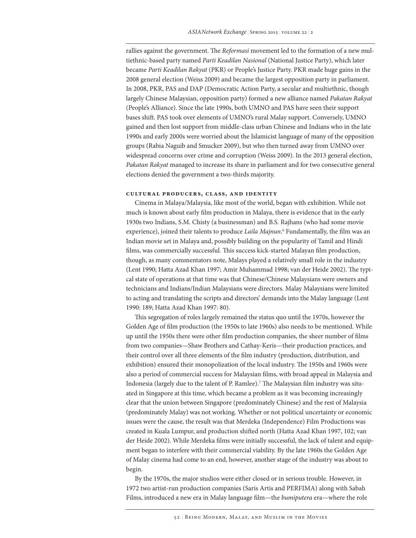rallies against the government. The *Reformasi* movement led to the formation of a new multiethnic-based party named *Parti Keadilan Nasional* (National Justice Party), which later became *Parti Keadilan Rakyat* (PKR) or People's Justice Party. PKR made huge gains in the 2008 general election (Weiss 2009) and became the largest opposition party in parliament. In 2008, PKR, PAS and DAP (Democratic Action Party, a secular and multiethnic, though largely Chinese Malaysian, opposition party) formed a new alliance named *Pakatan Rakyat* (People's Alliance). Since the late 1990s, both UMNO and PAS have seen their support bases shift. PAS took over elements of UMNO's rural Malay support. Conversely, UMNO gained and then lost support from middle-class urban Chinese and Indians who in the late 1990s and early 2000s were worried about the Islamicist language of many of the opposition groups (Rabia Naguib and Smucker 2009), but who then turned away from UMNO over widespread concerns over crime and corruption (Weiss 2009). In the 2013 general election, *Pakatan Rakyat* managed to increase its share in parliament and for two consecutive general elections denied the government a two-thirds majority.

#### **Cultural Producers, Class, and Identity**

Cinema in Malaya/Malaysia, like most of the world, began with exhibition. While not much is known about early film production in Malaya, there is evidence that in the early 1930s two Indians, S.M. Chisty (a businessman) and B.S. Rajhans (who had some movie experience), joined their talents to produce *Laila Majnun*. 6 Fundamentally, the film was an Indian movie set in Malaya and, possibly building on the popularity of Tamil and Hindi films, was commercially successful. This success kick-started Malayan film production, though, as many commentators note, Malays played a relatively small role in the industry (Lent 1990; Hatta Azad Khan 1997; Amir Muhammad 1998; van der Heide 2002). The typical state of operations at that time was that Chinese/Chinese Malaysians were owners and technicians and Indians/Indian Malaysians were directors. Malay Malaysians were limited to acting and translating the scripts and directors' demands into the Malay language (Lent 1990: 189; Hatta Azad Khan 1997: 80).

This segregation of roles largely remained the status quo until the 1970s, however the Golden Age of film production (the 1950s to late 1960s) also needs to be mentioned. While up until the 1950s there were other film production companies, the sheer number of films from two companies—Shaw Brothers and Cathay-Keris—their production practices, and their control over all three elements of the film industry (production, distribution, and exhibition) ensured their monopolization of the local industry. The 1950s and 1960s were also a period of commercial success for Malaysian films, with broad appeal in Malaysia and Indonesia (largely due to the talent of P. Ramlee).<sup>7</sup> The Malaysian film industry was situated in Singapore at this time, which became a problem as it was becoming increasingly clear that the union between Singapore (predominately Chinese) and the rest of Malaysia (predominately Malay) was not working. Whether or not political uncertainty or economic issues were the cause, the result was that Merdeka (Independence) Film Productions was created in Kuala Lumpur, and production shifted north (Hatta Azad Khan 1997, 102; van der Heide 2002). While Merdeka films were initially successful, the lack of talent and equipment began to interfere with their commercial viability. By the late 1960s the Golden Age of Malay cinema had come to an end, however, another stage of the industry was about to begin.

By the 1970s, the major studios were either closed or in serious trouble. However, in 1972 two artist-run production companies (Saris Artis and PERFIMA) along with Sabah Films, introduced a new era in Malay language film—the *bumiputera* era—where the role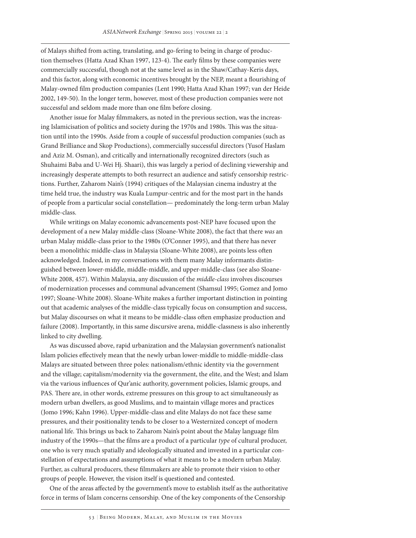of Malays shifted from acting, translating, and go-fering to being in charge of production themselves (Hatta Azad Khan 1997, 123-4). The early films by these companies were commercially successful, though not at the same level as in the Shaw/Cathay-Keris days, and this factor, along with economic incentives brought by the NEP, meant a flourishing of Malay-owned film production companies (Lent 1990; Hatta Azad Khan 1997; van der Heide 2002, 149-50). In the longer term, however, most of these production companies were not successful and seldom made more than one film before closing.

Another issue for Malay filmmakers, as noted in the previous section, was the increasing Islamicisation of politics and society during the 1970s and 1980s. This was the situation until into the 1990s. Aside from a couple of successful production companies (such as Grand Brilliance and Skop Productions), commercially successful directors (Yusof Haslam and Aziz M. Osman), and critically and internationally recognized directors (such as Shuhaimi Baba and U-Wei Hj. Shaari), this was largely a period of declining viewership and increasingly desperate attempts to both resurrect an audience and satisfy censorship restrictions. Further, Zaharom Nain's (1994) critiques of the Malaysian cinema industry at the time held true, the industry was Kuala Lumpur-centric and for the most part in the hands of people from a particular social constellation— predominately the long-term urban Malay middle-class.

While writings on Malay economic advancements post-NEP have focused upon the development of a new Malay middle-class (Sloane-White 2008), the fact that there *was* an urban Malay middle-class prior to the 1980s (O'Conner 1995), and that there has never been a monolithic middle-class in Malaysia (Sloane-White 2008), are points less often acknowledged. Indeed, in my conversations with them many Malay informants distinguished between lower-middle, middle-middle, and upper-middle-class (see also Sloane-White 2008, 457). Within Malaysia, any discussion of the *middle-class* involves discourses of modernization processes and communal advancement (Shamsul 1995; Gomez and Jomo 1997; Sloane-White 2008). Sloane-White makes a further important distinction in pointing out that academic analyses of the middle-class typically focus on consumption and success, but Malay discourses on what it means to be middle-class often emphasize production and failure (2008). Importantly, in this same discursive arena, middle-classness is also inherently linked to city dwelling.

As was discussed above, rapid urbanization and the Malaysian government's nationalist Islam policies effectively mean that the newly urban lower-middle to middle-middle-class Malays are situated between three poles: nationalism/ethnic identity via the government and the village; capitalism/modernity via the government, the elite, and the West; and Islam via the various influences of Qur'anic authority, government policies, Islamic groups, and PAS. There are, in other words, extreme pressures on this group to act simultaneously as modern urban dwellers, as good Muslims, and to maintain village mores and practices (Jomo 1996; Kahn 1996). Upper-middle-class and elite Malays do not face these same pressures, and their positionality tends to be closer to a Westernized concept of modern national life. This brings us back to Zaharom Nain's point about the Malay language film industry of the 1990s—that the films are a product of a particular *type* of cultural producer, one who is very much spatially and ideologically situated and invested in a particular constellation of expectations and assumptions of what it means to be a modern urban Malay. Further, as cultural producers, these filmmakers are able to promote their vision to other groups of people. However, the vision itself is questioned and contested.

One of the areas affected by the government's move to establish itself as the authoritative force in terms of Islam concerns censorship. One of the key components of the Censorship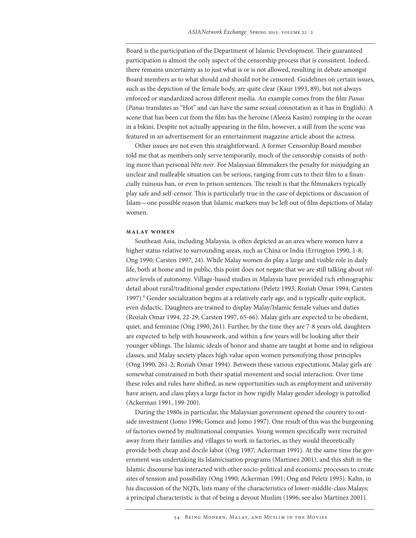Board is the participation of the Department of Islamic Development. Their guaranteed participation is almost the only aspect of the censorship process that is consistent. Indeed, there remains uncertainty as to just what is or is not allowed, resulting in debate amongst Board members as to what should and should not be censored. Guidelines on certain issues, such as the depiction of the female body, are quite clear (Kaur 1993, 89), but not always enforced or standardized across different media. An example comes from the film *Panas* (*Panas* translates as "Hot" and can have the same sexual connotation as it has in English). A scene that has been cut from the film has the heroine (Aleeza Kasim) romping in the ocean in a bikini. Despite not actually appearing in the film, however, a still from the scene was featured in an advertisement for an entertainment magazine article about the actress.

Other issues are not even this straightforward. A former Censorship Board member told me that as members only serve temporarily, much of the censorship consists of nothing more than personal *bête noir*. For Malaysian filmmakers the penalty for misjudging an unclear and malleable situation can be serious, ranging from cuts to their film to a financially ruinous ban, or even to prison sentences. The result is that the filmmakers typically play safe and self-censor. This is particularly true in the case of depictions or discussion of Islam—one possible reason that Islamic markers may be left out of film depictions of Malay women.

#### **Malay Women**

Southeast Asia, including Malaysia, is often depicted as an area where women have a higher status relative to surrounding areas, such as China or India (Errington 1990, 1-8; Ong 1990; Carsten 1997, 24). While Malay women do play a large and visible role in daily life, both at home and in public, this point does not negate that we are still talking about *relative* levels of autonomy. Village-based studies in Malaysia have provided rich ethnographic detail about rural/traditional gender expectations (Peletz 1993; Roziah Omar 1994; Carsten 1997).<sup>8</sup> Gender socialization begins at a relatively early age, and is typically quite explicit, even didactic. Daughters are trained to display Malay/Islamic female values and duties (Roziah Omar 1994, 22-29; Carsten 1997, 65-66). Malay girls are expected to be obedient, quiet, and feminine (Ong 1990, 261). Further, by the time they are 7-8 years old, daughters are expected to help with housework, and within a few years will be looking after their younger siblings. The Islamic ideals of honor and shame are taught at home and in religious classes, and Malay society places high value upon women personifying those principles (Ong 1990, 261-2; Roziah Omar 1994). Between these various expectations, Malay girls are somewhat constrained in both their spatial movement and social interaction. Over time these roles and rules have shifted, as new opportunities such as employment and university have arisen, and class plays a large factor in how rigidly Malay gender ideology is patrolled (Ackerman 1991, 199-200).

During the 1980s in particular, the Malaysian government opened the country to outside investment (Jomo 1996; Gomez and Jomo 1997). One result of this was the burgeoning of factories owned by multinational companies. Young women specifically were recruited away from their families and villages to work in factories, as they would theoretically provide both cheap and docile labor (Ong 1987; Ackerman 1991). At the same time the government was undertaking its Islamicisation programs (Martinez 2001), and this shift in the Islamic discourse has interacted with other socio-political and economic processes to create sites of tension and possibility (Ong 1990; Ackerman 1991; Ong and Peletz 1995). Kahn, in his discussion of the NQTs, lists many of the characteristics of lower-middle-class Malays; a principal characteristic is that of being a devout Muslim (1996; see also Martinez 2001).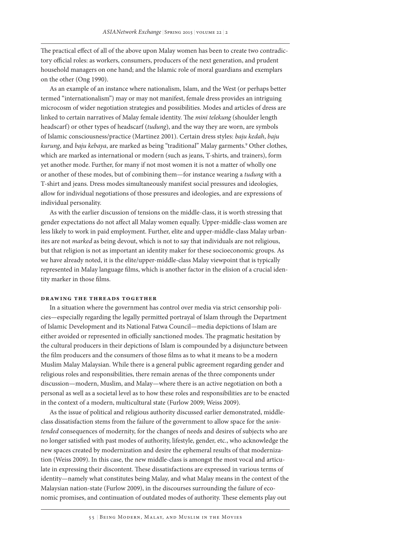The practical effect of all of the above upon Malay women has been to create two contradictory official roles: as workers, consumers, producers of the next generation, and prudent household managers on one hand; and the Islamic role of moral guardians and exemplars on the other (Ong 1990).

As an example of an instance where nationalism, Islam, and the West (or perhaps better termed "internationalism") may or may not manifest, female dress provides an intriguing microcosm of wider negotiation strategies and possibilities. Modes and articles of dress are linked to certain narratives of Malay female identity. The *mini telekung* (shoulder length headscarf) or other types of headscarf (*tudung*), and the way they are worn, are symbols of Islamic consciousness/practice (Martinez 2001). Certain dress styles: *baju kedah*, *baju kurung*, and *baju kebaya*, are marked as being "traditional" Malay garments.9 Other clothes, which are marked as international or modern (such as jeans, T-shirts, and trainers), form yet another mode. Further, for many if not most women it is not a matter of wholly one or another of these modes, but of combining them—for instance wearing a *tudung* with a T-shirt and jeans. Dress modes simultaneously manifest social pressures and ideologies, allow for individual negotiations of those pressures and ideologies, and are expressions of individual personality.

As with the earlier discussion of tensions on the middle-class, it is worth stressing that gender expectations do not affect all Malay women equally. Upper-middle-class women are less likely to work in paid employment. Further, elite and upper-middle-class Malay urbanites are not *marked* as being devout, which is not to say that individuals are not religious, but that religion is not as important an identity maker for these socioeconomic groups. As we have already noted, it is the elite/upper-middle-class Malay viewpoint that is typically represented in Malay language films, which is another factor in the elision of a crucial identity marker in those films.

#### **Drawing the Threads Together**

In a situation where the government has control over media via strict censorship policies—especially regarding the legally permitted portrayal of Islam through the Department of Islamic Development and its National Fatwa Council—media depictions of Islam are either avoided or represented in officially sanctioned modes. The pragmatic hesitation by the cultural producers in their depictions of Islam is compounded by a disjuncture between the film producers and the consumers of those films as to what it means to be a modern Muslim Malay Malaysian. While there is a general public agreement regarding gender and religious roles and responsibilities, there remain arenas of the three components under discussion—modern, Muslim, and Malay—where there is an active negotiation on both a personal as well as a societal level as to how these roles and responsibilities are to be enacted in the context of a modern, multicultural state (Furlow 2009; Weiss 2009).

As the issue of political and religious authority discussed earlier demonstrated, middleclass dissatisfaction stems from the failure of the government to allow space for the *unintended* consequences of modernity, for the changes of needs and desires of subjects who are no longer satisfied with past modes of authority, lifestyle, gender, etc., who acknowledge the new spaces created by modernization and desire the ephemeral results of that modernization (Weiss 2009). In this case, the new middle-class is amongst the most vocal and articulate in expressing their discontent. These dissatisfactions are expressed in various terms of identity—namely what constitutes being Malay, and what Malay means in the context of the Malaysian nation-state (Furlow 2009), in the discourses surrounding the failure of economic promises, and continuation of outdated modes of authority. These elements play out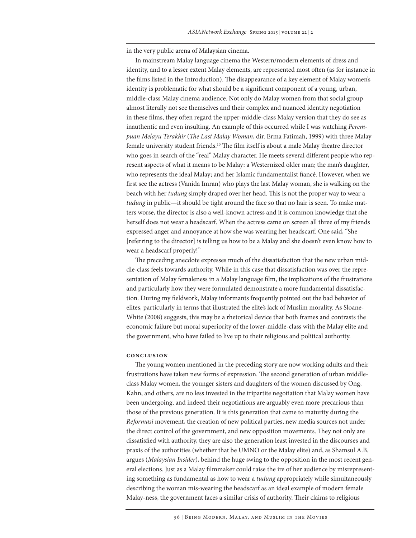in the very public arena of Malaysian cinema.

In mainstream Malay language cinema the Western/modern elements of dress and identity, and to a lesser extent Malay elements, are represented most often (as for instance in the films listed in the Introduction). The disappearance of a key element of Malay women's identity is problematic for what should be a significant component of a young, urban, middle-class Malay cinema audience. Not only do Malay women from that social group almost literally not see themselves and their complex and nuanced identity negotiation in these films, they often regard the upper-middle-class Malay version that they do see as inauthentic and even insulting. An example of this occurred while I was watching *Perempuan Melayu Terakhir* (*The Last Malay Woman*, dir. Erma Fatimah, 1999) with three Malay female university student friends.10 The film itself is about a male Malay theatre director who goes in search of the "real" Malay character. He meets several different people who represent aspects of what it means to be Malay: a Westernized older man; the man's daughter, who represents the ideal Malay; and her Islamic fundamentalist fiancé. However, when we first see the actress (Vanida Imran) who plays the last Malay woman, she is walking on the beach with her *tudung* simply draped over her head. This is not the proper way to wear a *tudung* in public—it should be tight around the face so that no hair is seen. To make matters worse, the director is also a well-known actress and it is common knowledge that she herself does not wear a headscarf. When the actress came on screen all three of my friends expressed anger and annoyance at how she was wearing her headscarf. One said, "She [referring to the director] is telling us how to be a Malay and she doesn't even know how to wear a headscarf properly!"

The preceding anecdote expresses much of the dissatisfaction that the new urban middle-class feels towards authority. While in this case that dissatisfaction was over the representation of Malay femaleness in a Malay language film, the implications of the frustrations and particularly how they were formulated demonstrate a more fundamental dissatisfaction. During my fieldwork, Malay informants frequently pointed out the bad behavior of elites, particularly in terms that illustrated the elite's lack of Muslim morality. As Sloane-White (2008) suggests, this may be a rhetorical device that both frames and contrasts the economic failure but moral superiority of the lower-middle-class with the Malay elite and the government, who have failed to live up to their religious and political authority.

### **Conclusion**

The young women mentioned in the preceding story are now working adults and their frustrations have taken new forms of expression. The second generation of urban middleclass Malay women, the younger sisters and daughters of the women discussed by Ong, Kahn, and others, are no less invested in the tripartite negotiation that Malay women have been undergoing, and indeed their negotiations are arguably even more precarious than those of the previous generation. It is this generation that came to maturity during the *Reformasi* movement, the creation of new political parties, new media sources not under the direct control of the government, and new opposition movements. They not only are dissatisfied with authority, they are also the generation least invested in the discourses and praxis of the authorities (whether that be UMNO or the Malay elite) and, as Shamsul A.B. argues (*Malaysian Insider*), behind the huge swing to the opposition in the most recent general elections. Just as a Malay filmmaker could raise the ire of her audience by misrepresenting something as fundamental as how to wear a *tudung* appropriately while simultaneously describing the woman mis-wearing the headscarf as an ideal example of modern female Malay-ness, the government faces a similar crisis of authority. Their claims to religious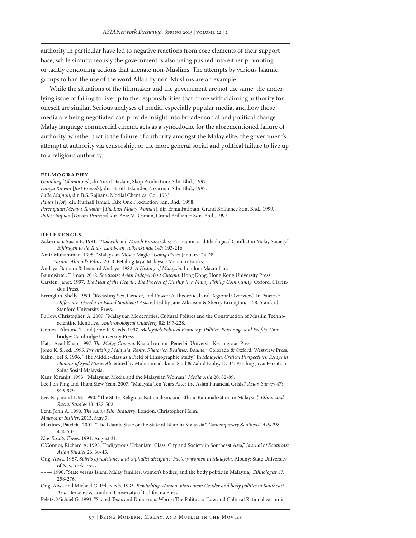authority in particular have led to negative reactions from core elements of their support base, while simultaneously the government is also being pushed into either promoting or tacitly condoning actions that alienate non-Muslims. The attempts by various Islamic groups to ban the use of the word Allah by non-Muslims are an example.

While the situations of the filmmaker and the government are not the same, the underlying issue of failing to live up to the responsibilities that come with claiming authority for oneself are similar. Serious analyses of media, especially popular media, and how those media are being negotiated can provide insight into broader social and political change. Malay language commercial cinema acts as a synecdoche for the aforementioned failure of authority, whether that is the failure of authority amongst the Malay elite, the government's attempt at authority via censorship, or the more general social and political failure to live up to a religious authority.

#### **Filmography**

*Gemilang* [*Glamorous*], dir Yusof Haslam, Skop Productions Sdn. Bhd., 1997. *Hanya Kawan* [*Just Friends*], dir. Harith Iskander, Nizarman Sdn. Bhd., 1997. *Laila Majnun*, dir. B.S. Rajhans, Motilal Chemical Co., 1933. *Panas* [*Hot*], dir. Nurhali Ismail, Take One Production Sdn. Bhd., 1998. *Perempuan Melayu Terakhir* [*The Last Malay Woman*], dir. Erma Fatimah, Grand Brilliance Sdn. Bhd., 1999. *Puteri Impian* [*Dream Princess*], dir. Aziz M. Osman, Grand Brilliance Sdn. Bhd., 1997.

#### **rEFERENCES**

- Ackerman, Susan E. 1991. "*Dakwah* and *Minah Karan*: Class Formation and Ideological Conflict in Malay Society," *Bijdragen to de Taal-, Land-, en Volkenkunde* 147: 193-216.
- Amir Muhammad. 1998. "Malaysian Movie Magic." *Going Places* January: 24-28.
- –––– *Yasmin Ahmad's Films*. 2010. Petaling Jaya, Malaysia: Matahari Books.
- Andaya, Barbara & Leonard Andaya. 1982. *A History of Malaysia*. London: Macmillan.
- Baumgärtel, Tilman. 2012. *Southeast Asian Independent Cinema*. Hong Kong: Hong Kong University Press.
- Carsten, Janet. 1997. *The Heat of the Hearth: The Process of Kinship in a Malay Fishing Community*. Oxford: Clarendon Press.
- Errington, Shelly. 1990. "Recasting Sex, Gender, and Power: A Theoretical and Regional Overview." In *Power & Difference: Gender in Island Southeast Asia* edited by Jane Atkinson & Sherry Errington, 1-58. Stanford: Stanford University Press.
- Furlow, Christopher, A. 2009. "Malaysian Modernities: Cultural Politics and the Construction of Muslim Technoscientific Identities," *Anthropological Quarterly* 82: 197-228.
- Gomez, Edmund T. and Jomo K.S., eds. 1997. *Malaysia's Political Economy: Politics, Patronage and Profits*. Cambridge: Cambridge University Press.
- Hatta Azad Khan. 1997. *The Malay Cinema*. Kuala Lumpur: Penerbit Universiti Kebangsaan Press.
- Jomo K. S., ed. 1995. *Privatizing Malaysia: Rents, Rhetorics, Realities. Boulder*. Colorado & Oxford: Westview Press.
- Kahn, Joel S. 1996. "The Middle-class as a Field of Ethnographic Study." In *Malaysia: Critical Perspectives: Essays in Honour of Syed Husin Ali*, edited by Muhammad Ikmal Said & Zahid Emby, 12-34. Petaling Jaya: Persatuan Sains Sosial Malaysia.
- Kaur, Kiranjit. 1993. "Malaysian Media and the Malaysian Woman," *Media Asia* 20: 82-89.
- Lee Poh Ping and Tham Siew Yean. 2007. "Malaysia Ten Years After the Asian Financial Crisis," *Asian Survey* 47: 915-929.
- Lee, Raymond L.M. 1990. "The State, Religious Nationalism, and Ethnic Rationalization in Malaysia," *Ethnic and Racial Studies* 13: 482-502.
- Lent, John A. 1990. *The Asian Film Industry*. London: Christopher Helm.
- *Malaysian Insider*. 2013. May 7.
- Martinez, Patricia. 2001. "The Islamic State or the State of Islam in Malaysia," *Contemporary Southeast Asia* 23: 474-503.
- *New Straits Times*. 1991. August 31.
- O'Connor, Richard A. 1995. "Indigenous Urbanism: Class, City and Society in Southeast Asia," *Journal of Southeast Asian Studies* 26: 30-45.
- Ong, Aiwa. 1987. *Spirits of resistance and capitalist discipline: Factory women in Malaysia*. Albany: State University of New York Press.
- –––– 1990. "State versus Islam: Malay families, women's bodies, and the body politic in Malaysia," *Ethnologist* 17: 258-276.
- Ong, Aiwa and Michael G. Peletz eds. 1995. *Bewitching Women, pious men: Gender and body politics in Southeast Asia*. Berkeley & London: University of California Press.

Peletz, Michael G. 1993. "Sacred Texts and Dangerous Words: The Politics of Law and Cultural Rationalization in